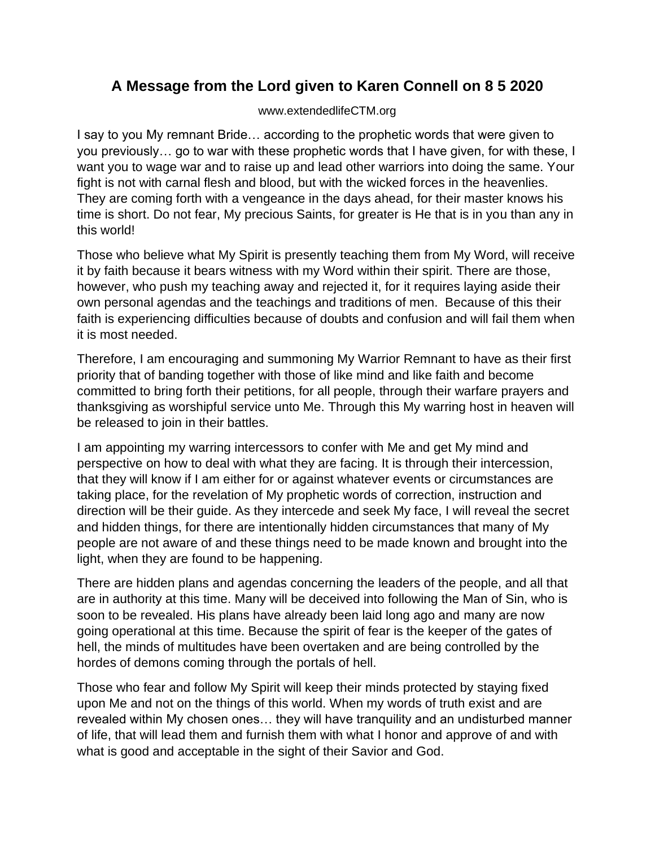## **A Message from the Lord given to Karen Connell on 8 5 2020**

## www.extendedlifeCTM.org

I say to you My remnant Bride… according to the prophetic words that were given to you previously… go to war with these prophetic words that I have given, for with these, I want you to wage war and to raise up and lead other warriors into doing the same. Your fight is not with carnal flesh and blood, but with the wicked forces in the heavenlies. They are coming forth with a vengeance in the days ahead, for their master knows his time is short. Do not fear, My precious Saints, for greater is He that is in you than any in this world!

Those who believe what My Spirit is presently teaching them from My Word, will receive it by faith because it bears witness with my Word within their spirit. There are those, however, who push my teaching away and rejected it, for it requires laying aside their own personal agendas and the teachings and traditions of men. Because of this their faith is experiencing difficulties because of doubts and confusion and will fail them when it is most needed.

Therefore, I am encouraging and summoning My Warrior Remnant to have as their first priority that of banding together with those of like mind and like faith and become committed to bring forth their petitions, for all people, through their warfare prayers and thanksgiving as worshipful service unto Me. Through this My warring host in heaven will be released to join in their battles.

I am appointing my warring intercessors to confer with Me and get My mind and perspective on how to deal with what they are facing. It is through their intercession, that they will know if I am either for or against whatever events or circumstances are taking place, for the revelation of My prophetic words of correction, instruction and direction will be their guide. As they intercede and seek My face, I will reveal the secret and hidden things, for there are intentionally hidden circumstances that many of My people are not aware of and these things need to be made known and brought into the light, when they are found to be happening.

There are hidden plans and agendas concerning the leaders of the people, and all that are in authority at this time. Many will be deceived into following the Man of Sin, who is soon to be revealed. His plans have already been laid long ago and many are now going operational at this time. Because the spirit of fear is the keeper of the gates of hell, the minds of multitudes have been overtaken and are being controlled by the hordes of demons coming through the portals of hell.

Those who fear and follow My Spirit will keep their minds protected by staying fixed upon Me and not on the things of this world. When my words of truth exist and are revealed within My chosen ones… they will have tranquility and an undisturbed manner of life, that will lead them and furnish them with what I honor and approve of and with what is good and acceptable in the sight of their Savior and God.